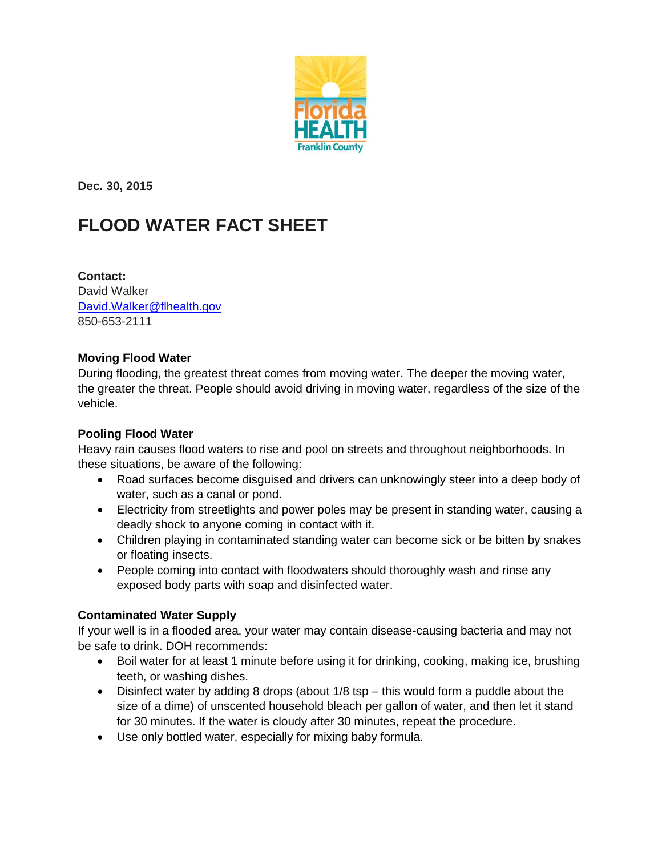

**Dec. 30, 2015** 

# **FLOOD WATER FACT SHEET**

**Contact:**  David Walker [David.Walker@flhealth.gov](mailto:David.Walker@flhealth.gov) 850-653-2111

#### **Moving Flood Water**

During flooding, the greatest threat comes from moving water. The deeper the moving water, the greater the threat. People should avoid driving in moving water, regardless of the size of the vehicle.

## **Pooling Flood Water**

Heavy rain causes flood waters to rise and pool on streets and throughout neighborhoods. In these situations, be aware of the following:

- Road surfaces become disquised and drivers can unknowingly steer into a deep body of water, such as a canal or pond.
- Electricity from streetlights and power poles may be present in standing water, causing a deadly shock to anyone coming in contact with it.
- Children playing in contaminated standing water can become sick or be bitten by snakes or floating insects.
- People coming into contact with floodwaters should thoroughly wash and rinse any exposed body parts with soap and disinfected water.

## **Contaminated Water Supply**

If your well is in a flooded area, your water may contain disease-causing bacteria and may not be safe to drink. DOH recommends:

- Boil water for at least 1 minute before using it for drinking, cooking, making ice, brushing teeth, or washing dishes.
- Disinfect water by adding 8 drops (about 1/8 tsp this would form a puddle about the size of a dime) of unscented household bleach per gallon of water, and then let it stand for 30 minutes. If the water is cloudy after 30 minutes, repeat the procedure.
- Use only bottled water, especially for mixing baby formula.